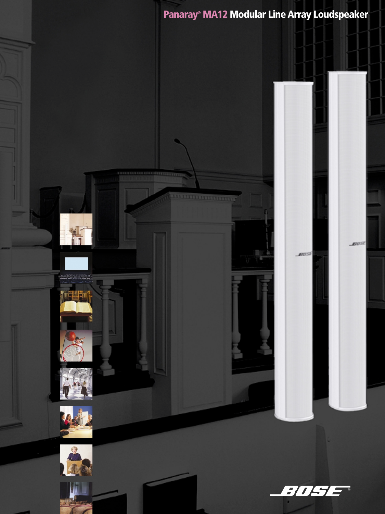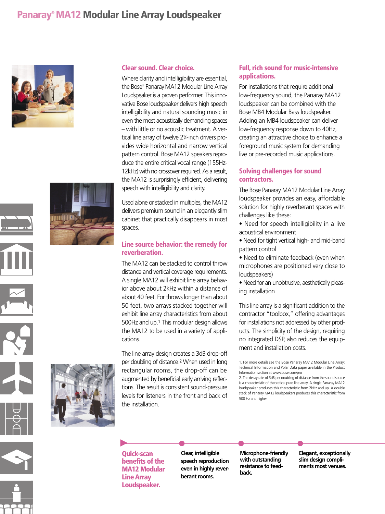# **Panaray®MA12 Modular Line Array Loudspeaker**





## **Clear sound. Clear choice.**

Where clarity and intelligibility are essential, the Bose® Panaray MA12 Modular Line Array Loudspeaker is a proven performer. This innovative Bose loudspeaker delivers high speech intelligibility and natural sounding music in even the most acoustically demanding spaces – with little or no acoustic treatment. A vertical line array of twelve 21 ⁄4-inch drivers provides wide horizontal and narrow vertical pattern control. Bose MA12 speakers reproduce the entire critical vocal range (155Hz-12kHz) with no crossover required. As a result, the MA12 is surprisingly efficient, delivering speech with intelligibility and clarity.

Used alone or stacked in multiples, the MA12 delivers premium sound in an elegantly slim cabinet that practically disappears in most spaces.

#### **Line source behavior: the remedy for reverberation.**

The MA12 can be stacked to control throw distance and vertical coverage requirements. A single MA12 will exhibit line array behavior above about 2kHz within a distance of about 40 feet. For throws longer than about 50 feet, two arrays stacked together will exhibit line array characteristics from about 500Hz and up.1 This modular design allows the MA12 to be used in a variety of applications.

The line array design creates a 3dB drop-off per doubling of distance.2 When used in long rectangular rooms, the drop-off can be augmented by beneficial early arriving reflections. The result is consistent sound-pressure levels for listeners in the front and back of the installation.

## **Full, rich sound for music-intensive applications.**

For installations that require additional low-frequency sound, the Panaray MA12 loudspeaker can be combined with the Bose MB4 Modular Bass loudspeaker. Adding an MB4 loudspeaker can deliver low-frequency response down to 40Hz, creating an attractive choice to enhance a foreground music system for demanding live or pre-recorded music applications.

### **Solving challenges for sound contractors.**

The Bose Panaray MA12 Modular Line Array loudspeaker provides an easy, affordable solution for highly reverberant spaces with challenges like these:

- Need for speech intelligibility in a live acoustical environment
- Need for tight vertical high- and mid-band pattern control
- Need to eliminate feedback (even when microphones are positioned very close to loudspeakers)
- Need for an unobtrusive, aesthetically pleasing installation

This line array is a significant addition to the contractor "toolbox," offering advantages for installations not addressed by other products. The simplicity of the design, requiring no integrated DSP, also reduces the equipment and installation costs.



**Quick-scan benefits of the MA12 Modular Line Array Loudspeaker.**

▲

**Clear, intelligible speech reproduction even in highly reverberant rooms. •••**

**Microphone-friendly with outstanding resistance to feedback.**

**Elegant, exceptionally slim design compliments most venues.**

<sup>1.</sup> For more details see the Bose Panaray MA12 Modular Line Array: Technical Information and Polar Data paper available in the Product Information section at www.bose.com/pro

<sup>2.</sup> The decay rate of 3dB per doubling of distance from the sound source is a characteristic of theoretical pure line array. A single Panaray MA12 loudspeaker produces this characteristic from 2kHz and up. A double stack of Panaray MA12 loudspeakers produces this characteristic from 500 Hz and higher.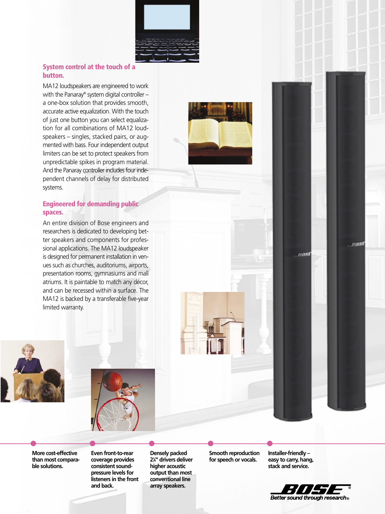

#### **System control at the touch of a button.**

MA12 loudspeakers are engineered to work with the Panaray® system digital controller – a one-box solution that provides smooth, accurate active equalization. With the touch of just one button you can select equalization for all combinations of MA12 loudspeakers – singles, stacked pairs, or augmented with bass. Four independent output limiters can be set to protect speakers from unpredictable spikes in program material. And the Panaray controller includes four independent channels of delay for distributed systems.

### **Engineered for demanding public spaces.**

An entire division of Bose engineers and researchers is dedicated to developing better speakers and components for professional applications. The MA12 loudspeaker is designed for permanent installation in venues such as churches, auditoriums, airports, presentation rooms, gymnasiums and mall atriums. It is paintable to match any décor, and can be recessed within a surface. The MA12 is backed by a transferable five-year limited warranty.





**More cost-effective than most comparable solutions.**

**Even front-to-rear coverage provides consistent soundpressure levels for listeners in the front and back. •••••** 

**Densely packed 21 ⁄4" drivers deliver higher acoustic output than most conventional line array speakers.**

**Smooth reproduction for speech or vocals.**

**Installer-friendly – easy to carry, hang, stack and service.**

*ADSI* 



81051